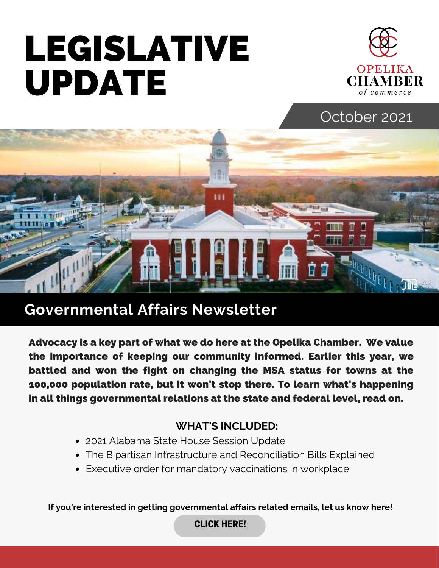# LEGISLATIVE UPDATE



October 2021

## **Governmental Affairs Newsletter**

Advocacy is a key part of what we do here at the Opelika Chamber. We value the importance of keeping our community informed. Earlier this year, we battled and won the fight on changing the MSA status for towns at the 100,000 population rate, but it won't stop there. To learn what's happening in all things governmental relations at the state and federal level, read on.

#### **WHAT'S INCLUDED:**

- 2021 Alabama State House Session Update
- The Bipartisan Infrastructure and Reconciliation Bills Explained
- Executive order for mandatory vaccinations in workplace

 **If you're interested in getting governmental affairs related emails, let us know here!**

[CLICK HERE!](https://www.opelikachamber.com/communication)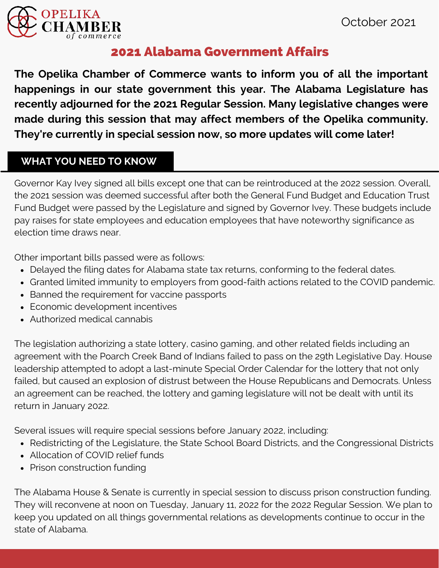

## 2021 Alabama Government Affairs

**The Opelika Chamber of Commerce wants to inform you of all the important happenings in our state government this year. The Alabama Legislature has recently adjourned for the 2021 Regular Session. Many legislative changes were made during this session that may affect members of the Opelika community. They're currently in special session now, so more updates will come later!** 

#### **WHAT YOU NEED TO KNOW**

Governor Kay Ivey signed all bills except one that can be reintroduced at the 2022 session. Overall, the 2021 session was deemed successful after both the General Fund Budget and Education Trust Fund Budget were passed by the Legislature and signed by Governor Ivey. These budgets include pay raises for state employees and education employees that have noteworthy significance as election time draws near.

Other important bills passed were as follows:

- Delayed the filing dates for Alabama state tax returns, conforming to the federal dates.
- Granted limited immunity to employers from good-faith actions related to the COVID pandemic.
- Banned the requirement for vaccine passports
- Economic development incentives
- Authorized medical cannabis

The legislation authorizing a state lottery, casino gaming, and other related fields including an agreement with the Poarch Creek Band of Indians failed to pass on the 29th Legislative Day. House leadership attempted to adopt a last-minute Special Order Calendar for the lottery that not only failed, but caused an explosion of distrust between the House Republicans and Democrats. Unless an agreement can be reached, the lottery and gaming legislature will not be dealt with until its return in January 2022.

Several issues will require special sessions before January 2022, including:

- Redistricting of the Legislature, the State School Board Districts, and the Congressional Districts
- Allocation of COVID relief funds
- Prison construction funding

The Alabama House & Senate is currently in special session to discuss prison construction funding. They will reconvene at noon on Tuesday, January 11, 2022 for the 2022 Regular Session. We plan to keep you updated on all things governmental relations as developments continue to occur in the state of Alabama.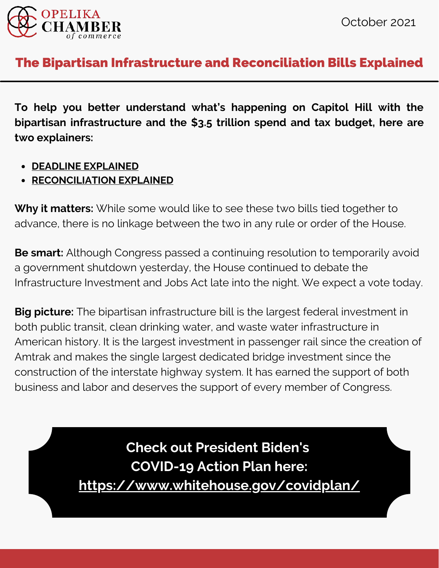

## The Bipartisan Infrastructure and Reconciliation Bills Explained

**To help you better understand what's happening on Capitol Hill with the bipartisan infrastructure and the \$3.5 trillion spend and tax budget, here are two explainers:**

- **[DEADLINE EXPLAINED](https://www.uschamber.com/sites/default/files/us_chamber_deadline_for_iija_explained.pdf?utm_medium=Email&utm_source=SFMC&utm_campaign=&utm_content=)**
- **[RECONCILIATION EXPLAINED](https://www.uschamber.com/sites/default/files/u.s._chamber_reconciliation_explained.pdf?utm_medium=Email&utm_source=SFMC&utm_campaign=&utm_content=)**

**Why it matters:** While some would like to see these two bills tied together to advance, there is no linkage between the two in any rule or order of the House.

**Be smart:** Although Congress passed a continuing resolution to temporarily avoid a government shutdown yesterday, the House continued to debate the Infrastructure Investment and Jobs Act late into the night. We expect a vote today.

**Big picture:** The bipartisan infrastructure bill is the largest federal investment in both public transit, clean drinking water, and waste water infrastructure in American history. It is the largest investment in passenger rail since the creation of Amtrak and makes the single largest dedicated bridge investment since the construction of the interstate highway system. It has earned the support of both business and labor and deserves the support of every member of Congress.

> **Check out President Biden's COVID-19 Action Plan here: <https://www.whitehouse.gov/covidplan/>**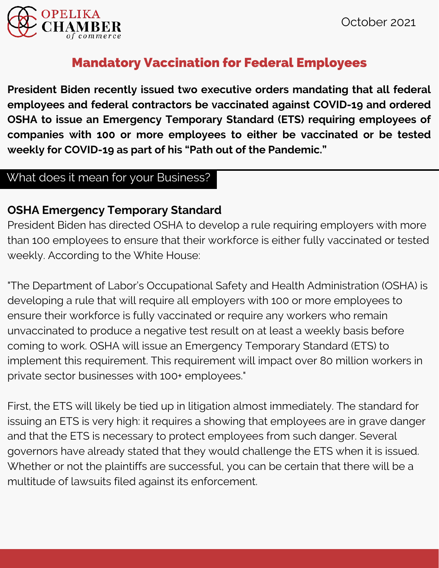

## Mandatory Vaccination for Federal Employees

**President Biden recently issued two executive orders mandating that all federal employees and federal contractors be vaccinated against COVID-19 and ordered OSHA to issue an Emergency Temporary Standard (ETS) requiring employees of companies with 100 or more employees to either be vaccinated or be tested weekly for COVID-19 as part of his "Path out of the Pandemic."**

## What does it mean for your Business?

## **OSHA Emergency Temporary Standard**

President Biden has directed OSHA to develop a rule requiring employers with more than 100 employees to ensure that their workforce is either fully vaccinated or tested weekly. According to the White House:

"The Department of Labor's Occupational Safety and Health Administration (OSHA) is developing a rule that will require all employers with 100 or more employees to ensure their workforce is fully vaccinated or require any workers who remain unvaccinated to produce a negative test result on at least a weekly basis before coming to work. OSHA will issue an Emergency Temporary Standard (ETS) to implement this requirement. This requirement will impact over 80 million workers in private sector businesses with 100+ employees."

First, the ETS will likely be tied up in litigation almost immediately. The standard for issuing an ETS is very high: it requires a showing that employees are in grave danger and that the ETS is necessary to protect employees from such danger. Several governors have already stated that they would challenge the ETS when it is issued. Whether or not the plaintiffs are successful, you can be certain that there will be a multitude of lawsuits filed against its enforcement.